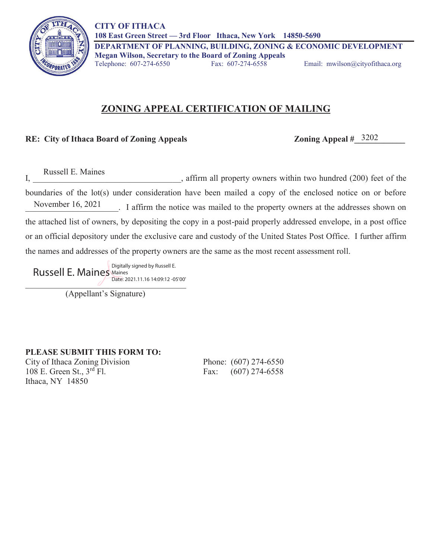

## **ZONING APPEAL CERTIFICATION OF MAILING**

## **RE: City of Ithaca Board of Zoning Appeals**

Zoning Appeal  $\#$  3202

Russell E. Maines

I, I, the set of the set of the set of the set of the set of the set of the set of the set of the set of the set of the set of the set of the set of the set of the set of the set of the set of the set of the set of the set boundaries of the lot(s) under consideration have been mailed a copy of the enclosed notice on or before \_\_\_\_\_\_\_\_\_\_\_\_\_\_\_\_\_\_\_\_\_\_. I affirm the notice was mailed to the property owners at the addresses shown on the attached list of owners, by depositing the copy in a post-paid properly addressed envelope, in a post office or an official depository under the exclusive care and custody of the United States Post Office. I further affirm the names and addresses of the property owners are the same as the most recent assessment roll. November  $16, 2021$ 

Date: 2021.11.10 14.02.12 03 00 Russell E. Maines Maines Date: 2021.11.16 14:09:12 -05'00'

(Appellant's Signature)

**PLEASE SUBMIT THIS FORM TO:** 

City of Ithaca Zoning Division Phone: (607) 274-6550 108 E. Green St., 3<sup>rd</sup> Fl. Fax: (607) 274-6558 Ithaca, NY 14850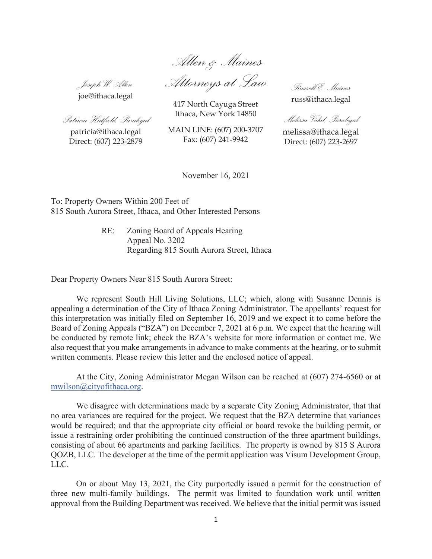*Allen & Maines*

*Joseph W. Allen*  joe@ithaca.legal

*Attorneys at Law* 

417 North Cayuga Street Ithaca, New York 14850

*Russell E. Maines*  russ@ithaca.legal

*Melissa Vidal, Paralegal* 

melissa@ithaca.legal Direct: (607) 223-2697

patricia@ithaca.legal Direct: (607) 223-2879

*Patricia Hatfield, Paralegal* 

MAIN LINE: (607) 200-3707 Fax: (607) 241-9942

November 16, 2021

To: Property Owners Within 200 Feet of 815 South Aurora Street, Ithaca, and Other Interested Persons

> RE: Zoning Board of Appeals Hearing Appeal No. 3202 Regarding 815 South Aurora Street, Ithaca

Dear Property Owners Near 815 South Aurora Street:

We represent South Hill Living Solutions, LLC; which, along with Susanne Dennis is appealing a determination of the City of Ithaca Zoning Administrator. The appellants' request for this interpretation was initially filed on September 16, 2019 and we expect it to come before the Board of Zoning Appeals ("BZA") on December 7, 2021 at 6 p.m. We expect that the hearing will be conducted by remote link; check the BZA's website for more information or contact me. We also request that you make arrangements in advance to make comments at the hearing, or to submit written comments. Please review this letter and the enclosed notice of appeal.

At the City, Zoning Administrator Megan Wilson can be reached at (607) 274-6560 or at mwilson@cityofithaca.org.

We disagree with determinations made by a separate City Zoning Administrator, that that no area variances are required for the project. We request that the BZA determine that variances would be required; and that the appropriate city official or board revoke the building permit, or issue a restraining order prohibiting the continued construction of the three apartment buildings, consisting of about 66 apartments and parking facilities. The property is owned by 815 S Aurora QOZB, LLC. The developer at the time of the permit application was Visum Development Group, LLC.

On or about May 13, 2021, the City purportedly issued a permit for the construction of three new multi-family buildings. The permit was limited to foundation work until written approval from the Building Department was received. We believe that the initial permit was issued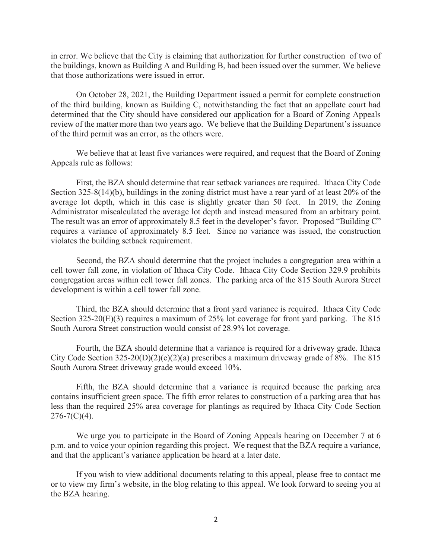in error. We believe that the City is claiming that authorization for further construction of two of the buildings, known as Building A and Building B, had been issued over the summer. We believe that those authorizations were issued in error.

On October 28, 2021, the Building Department issued a permit for complete construction of the third building, known as Building C, notwithstanding the fact that an appellate court had determined that the City should have considered our application for a Board of Zoning Appeals review of the matter more than two years ago. We believe that the Building Department's issuance of the third permit was an error, as the others were.

We believe that at least five variances were required, and request that the Board of Zoning Appeals rule as follows:

First, the BZA should determine that rear setback variances are required. Ithaca City Code Section 325-8(14)(b), buildings in the zoning district must have a rear yard of at least 20% of the average lot depth, which in this case is slightly greater than 50 feet. In 2019, the Zoning Administrator miscalculated the average lot depth and instead measured from an arbitrary point. The result was an error of approximately 8.5 feet in the developer's favor. Proposed "Building C" requires a variance of approximately 8.5 feet. Since no variance was issued, the construction violates the building setback requirement.

Second, the BZA should determine that the project includes a congregation area within a cell tower fall zone, in violation of Ithaca City Code. Ithaca City Code Section 329.9 prohibits congregation areas within cell tower fall zones. The parking area of the 815 South Aurora Street development is within a cell tower fall zone.

Third, the BZA should determine that a front yard variance is required. Ithaca City Code Section 325-20(E)(3) requires a maximum of 25% lot coverage for front yard parking. The 815 South Aurora Street construction would consist of 28.9% lot coverage.

Fourth, the BZA should determine that a variance is required for a driveway grade. Ithaca City Code Section  $325-20(D)(2)(e)(2)(a)$  prescribes a maximum driveway grade of 8%. The 815 South Aurora Street driveway grade would exceed 10%.

Fifth, the BZA should determine that a variance is required because the parking area contains insufficient green space. The fifth error relates to construction of a parking area that has less than the required 25% area coverage for plantings as required by Ithaca City Code Section  $276 - 7(C)(4)$ .

We urge you to participate in the Board of Zoning Appeals hearing on December 7 at 6 p.m. and to voice your opinion regarding this project. We request that the BZA require a variance, and that the applicant's variance application be heard at a later date.

If you wish to view additional documents relating to this appeal, please free to contact me or to view my firm's website, in the blog relating to this appeal. We look forward to seeing you at the BZA hearing.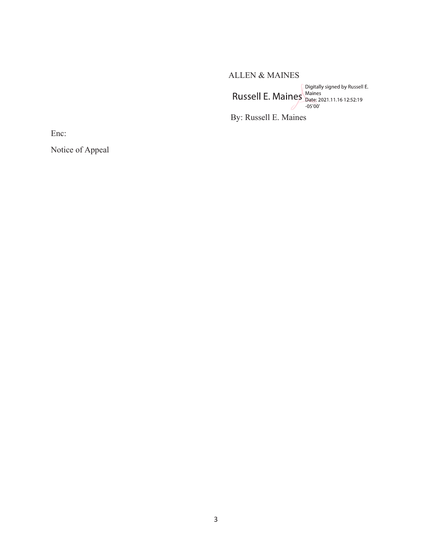ALLEN & MAINES Digitally signed by Russell E. Maines<br>
Digitally signed by Russell E. Maines<br>
-05'00'

By: Russell E. Maines

Enc:

Notice of Appeal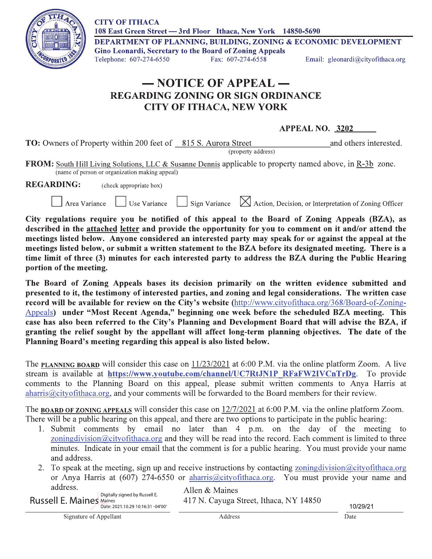**CITY OF ITHACA** 108 East Green Street - 3rd Floor Ithaca, New York 14850-5690



DEPARTMENT OF PLANNING, BUILDING, ZONING & ECONOMIC DEVELOPMENT **Gino Leonardi, Secretary to the Board of Zoning Appeals** Fax: 607-274-6558

Telephone: 607-274-6550

Use Variance

Email: gleonardi@cityofithaca.org

## - NOTICE OF APPEAL -**REGARDING ZONING OR SIGN ORDINANCE CITY OF ITHACA, NEW YORK**

## **APPEAL NO. 3202**

**TO:** Owners of Property within 200 feet of 815 S. Aurora Street and others interested. (property address)

**FROM:** South Hill Living Solutions, LLC & Susanne Dennis applicable to property named above, in R-3b zone. (name of person or organization making appeal)

Sign Variance

**REGARDING:** (check appropriate box)

Area Variance

 $\boxtimes$  Action, Decision, or Interpretation of Zoning Officer

City regulations require you be notified of this appeal to the Board of Zoning Appeals (BZA), as described in the attached letter and provide the opportunity for you to comment on it and/or attend the meetings listed below. Anyone considered an interested party may speak for or against the appeal at the meetings listed below, or submit a written statement to the BZA before its designated meeting. There is a time limit of three (3) minutes for each interested party to address the BZA during the Public Hearing portion of the meeting.

The Board of Zoning Appeals bases its decision primarily on the written evidence submitted and presented to it, the testimony of interested parties, and zoning and legal considerations. The written case record will be available for review on the City's website (http://www.cityofithaca.org/368/Board-of-Zoning-Appeals) under "Most Recent Agenda," beginning one week before the scheduled BZA meeting. This case has also been referred to the City's Planning and Development Board that will advise the BZA, if granting the relief sought by the appellant will affect long-term planning objectives. The date of the Planning Board's meeting regarding this appeal is also listed below.

The PLANNING BOARD will consider this case on 11/23/2021 at 6:00 P.M. via the online platform Zoom. A live stream is available at https://www.youtube.com/channel/UC7RtJN1P RFaFW2IVCnTrDg. To provide comments to the Planning Board on this appeal, please submit written comments to Anya Harris at aharris@cityofithaca.org, and your comments will be forwarded to the Board members for their review.

The **BOARD OF ZONING APPEALS** will consider this case on 12/7/2021 at 6:00 P.M. via the online platform Zoom. There will be a public hearing on this appeal, and there are two options to participate in the public hearing:

- 1. Submit comments by email no later than 4 p.m. on the day of the meeting to zoning division  $@city$  of thaca. org and they will be read into the record. Each comment is limited to three minutes. Indicate in your email that the comment is for a public hearing. You must provide your name and address.
- 2. To speak at the meeting, sign up and receive instructions by contacting zoning division  $@city$  of that a org or Anya Harris at (607) 274-6550 or aharris@cityofithaca.org. You must provide your name and address.

Digitally signed by Russell E. **Russell E. Maines Maines** Date: 2021.10.29 10:16:31 -04'00' Allen & Maines 417 N. Cayuga Street, Ithaca, NY 14850

10/29/21

Signature of Appellant